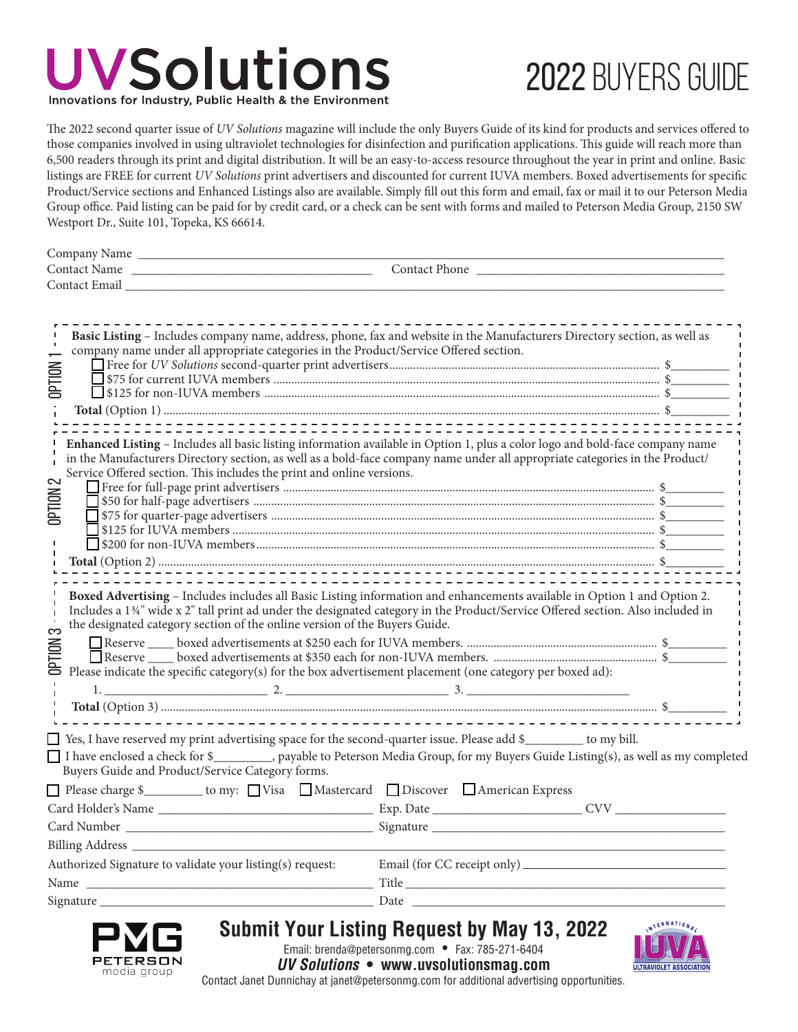### **UVSolutions** Innovations for Industry, Public Health & the Environmen

# 2022 Buyers Guide

The 2022 second quarter issue of *UV Solutions* magazine will include the only Buyers Guide of its kind for products and services offered to those companies involved in using ultraviolet technologies for disinfection and purification applications. This guide will reach more than 6,500 readers through its print and digital distribution. It will be an easy-to-access resource throughout the year in print and online. Basic listings are FREE for current *UV Solutions* print advertisers and discounted for current IUVA members. Boxed advertisements for specific Product/Service sections and Enhanced Listings also are available. Simply fill out this form and email, fax or mail it to our Peterson Media Group office. Paid listing can be paid for by credit card, or a check can be sent with forms and mailed to Peterson Media Group, 2150 SW Westport Dr., Suite 101, Topeka, KS 66614.

| Company Name  |               |
|---------------|---------------|
| Contact Name  | Contact Phone |
| Contact Email |               |

| Basic Listing - Includes company name, address, phone, fax and website in the Manufacturers Directory section, as well as<br>company name under all appropriate categories in the Product/Service Offered section.                                                                                                                                                                                                                                                          |  |  |  |
|-----------------------------------------------------------------------------------------------------------------------------------------------------------------------------------------------------------------------------------------------------------------------------------------------------------------------------------------------------------------------------------------------------------------------------------------------------------------------------|--|--|--|
|                                                                                                                                                                                                                                                                                                                                                                                                                                                                             |  |  |  |
| <b>OPTION</b>                                                                                                                                                                                                                                                                                                                                                                                                                                                               |  |  |  |
|                                                                                                                                                                                                                                                                                                                                                                                                                                                                             |  |  |  |
|                                                                                                                                                                                                                                                                                                                                                                                                                                                                             |  |  |  |
| Enhanced Listing - Includes all basic listing information available in Option 1, plus a color logo and bold-face company name<br>in the Manufacturers Directory section, as well as a bold-face company name under all appropriate categories in the Product/<br>Service Offered section. This includes the print and online versions.<br>OPTION                                                                                                                            |  |  |  |
|                                                                                                                                                                                                                                                                                                                                                                                                                                                                             |  |  |  |
|                                                                                                                                                                                                                                                                                                                                                                                                                                                                             |  |  |  |
| Boxed Advertising - Includes includes all Basic Listing information and enhancements available in Option 1 and Option 2.<br>Includes a 134" wide x 2" tall print ad under the designated category in the Product/Service Offered section. Also included in<br>the designated category section of the online version of the Buyers Guide.<br>က<br><b>OPTION</b><br>Please indicate the specific category(s) for the box advertisement placement (one category per boxed ad): |  |  |  |
|                                                                                                                                                                                                                                                                                                                                                                                                                                                                             |  |  |  |
|                                                                                                                                                                                                                                                                                                                                                                                                                                                                             |  |  |  |
| □ Yes, I have reserved my print advertising space for the second-quarter issue. Please add \$<br>□ to my bill.<br>I have enclosed a check for \$__________, payable to Peterson Media Group, for my Buyers Guide Listing(s), as well as my completed<br>Buyers Guide and Product/Service Category forms.                                                                                                                                                                    |  |  |  |
| □ Please charge \$___________ to my: □ Visa □ Mastercard □ Discover □ American Express                                                                                                                                                                                                                                                                                                                                                                                      |  |  |  |
|                                                                                                                                                                                                                                                                                                                                                                                                                                                                             |  |  |  |
|                                                                                                                                                                                                                                                                                                                                                                                                                                                                             |  |  |  |
|                                                                                                                                                                                                                                                                                                                                                                                                                                                                             |  |  |  |
| Authorized Signature to validate your listing(s) request:                                                                                                                                                                                                                                                                                                                                                                                                                   |  |  |  |
|                                                                                                                                                                                                                                                                                                                                                                                                                                                                             |  |  |  |
|                                                                                                                                                                                                                                                                                                                                                                                                                                                                             |  |  |  |
|                                                                                                                                                                                                                                                                                                                                                                                                                                                                             |  |  |  |



**Submit Your Listing Request by May 13, 2022**

ERNATIONA ULTRAVIOLET ASSOCIATIO

Email: brenda@petersonmg.com • Fax: 785-271-6404 *UV Solutions* **• www.uvsolutionsmag.com**

Contact Janet Dunnichay at janet@petersonmg.com for additional advertising opportunities.